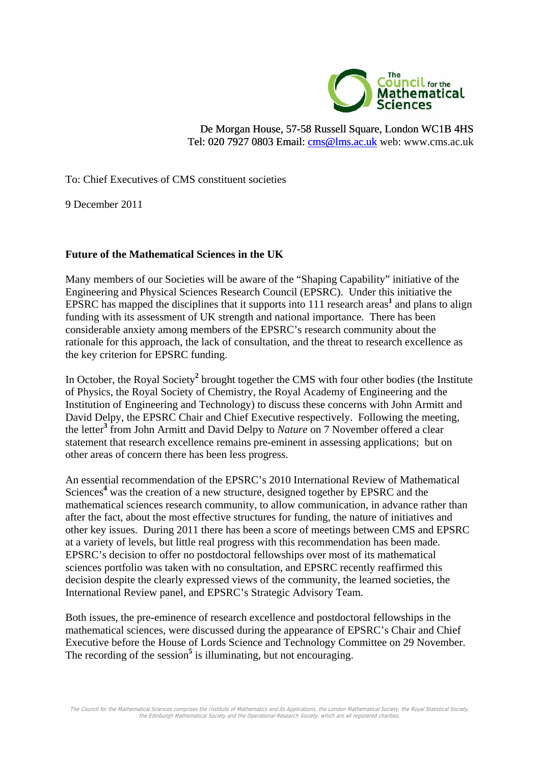

De Morgan House, 57-58 Russell Square, London WC1B 4HS [Tel: 020 7927 0803 Email: cms@lms.ac.uk web: www.cms.ac.uk](mailto:cms@lms.ac.uk) 

To: Chief Executives of CMS constituent societies

9 December 2011

## **Future of the Mathematical Sciences in the UK**

Many members of our Societies will be aware of the "Shaping Capability" initiative of the Engineering and Physical Sciences Research Council (EPSRC). Under this initiative the EPSRC has mapped the disciplines that it supports into  $111$  research areas<sup>1</sup> and plans to align funding with its assessment of UK strength and national importance. There has been considerable anxiety among members of the EPSRC's research community about the rationale for this approach, the lack of consultation, and the threat to research excellence as the key criterion for EPSRC funding.

In October, the Royal Society<sup>2</sup> brought together the CMS with four other bodies (the Institute of Physics, the Royal Society of Chemistry, the Royal Academy of Engineering and the Institution of Engineering and Technology) to discuss these concerns with John Armitt and David Delpy, the EPSRC Chair and Chief Executive respectively. Following the meeting, the letter**<sup>3</sup>** from John Armitt and David Delpy to *Nature* on 7 November offered a clear statement that research excellence remains pre-eminent in assessing applications; but on other areas of concern there has been less progress.

An essential recommendation of the EPSRC's 2010 International Review of Mathematical Sciences<sup>4</sup> was the creation of a new structure, designed together by EPSRC and the mathematical sciences research community, to allow communication, in advance rather than after the fact, about the most effective structures for funding, the nature of initiatives and other key issues. During 2011 there has been a score of meetings between CMS and EPSRC at a variety of levels, but little real progress with this recommendation has been made. EPSRC's decision to offer no postdoctoral fellowships over most of its mathematical sciences portfolio was taken with no consultation, and EPSRC recently reaffirmed this decision despite the clearly expressed views of the community, the learned societies, the International Review panel, and EPSRC's Strategic Advisory Team.

Both issues, the pre-eminence of research excellence and postdoctoral fellowships in the mathematical sciences, were discussed during the appearance of EPSRC's Chair and Chief Executive before the House of Lords Science and Technology Committee on 29 November. The recording of the session<sup>5</sup> is illuminating, but not encouraging.